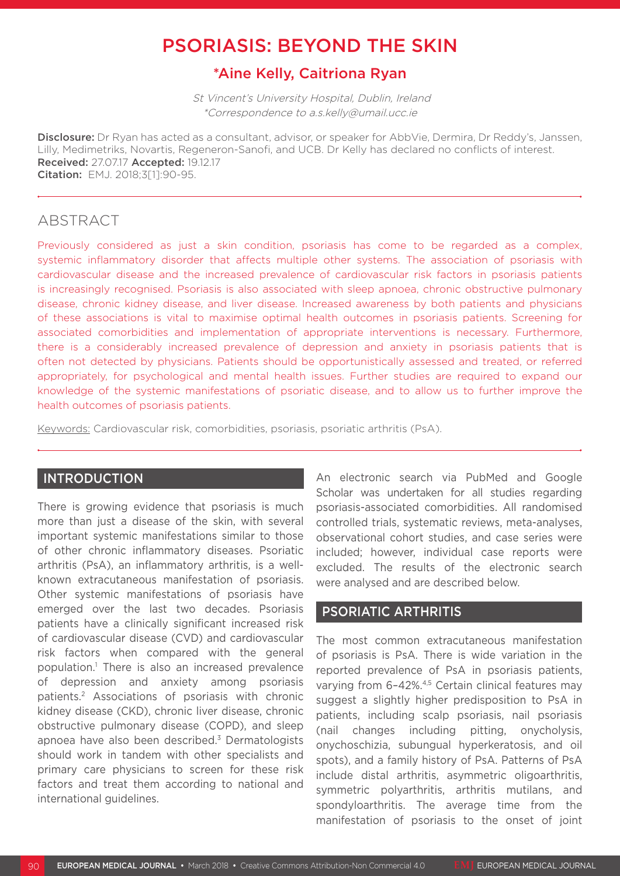# PSORIASIS: BEYOND THE SKIN

## \*Aine Kelly, Caitriona Ryan

 St Vincent's University Hospital, Dublin, Ireland \*Correspondence to a.s.kelly@umail.ucc.ie

Disclosure: Dr Ryan has acted as a consultant, advisor, or speaker for AbbVie, Dermira, Dr Reddy's, Janssen, Lilly, Medimetriks, Novartis, Regeneron-Sanofi, and UCB. Dr Kelly has declared no conflicts of interest. Received: 27.07.17 Accepted: 19.12.17 Citation: EMJ. 2018;3[1]:90-95.

## ABSTRACT

Previously considered as just a skin condition, psoriasis has come to be regarded as a complex, systemic inflammatory disorder that affects multiple other systems. The association of psoriasis with cardiovascular disease and the increased prevalence of cardiovascular risk factors in psoriasis patients is increasingly recognised. Psoriasis is also associated with sleep apnoea, chronic obstructive pulmonary disease, chronic kidney disease, and liver disease. Increased awareness by both patients and physicians of these associations is vital to maximise optimal health outcomes in psoriasis patients. Screening for associated comorbidities and implementation of appropriate interventions is necessary. Furthermore, there is a considerably increased prevalence of depression and anxiety in psoriasis patients that is often not detected by physicians. Patients should be opportunistically assessed and treated, or referred appropriately, for psychological and mental health issues. Further studies are required to expand our knowledge of the systemic manifestations of psoriatic disease, and to allow us to further improve the health outcomes of psoriasis patients.

Keywords: Cardiovascular risk, comorbidities, psoriasis, psoriatic arthritis (PsA).

### INTRODUCTION

There is growing evidence that psoriasis is much more than just a disease of the skin, with several important systemic manifestations similar to those of other chronic inflammatory diseases. Psoriatic arthritis (PsA), an inflammatory arthritis, is a wellknown extracutaneous manifestation of psoriasis. Other systemic manifestations of psoriasis have emerged over the last two decades. Psoriasis patients have a clinically significant increased risk of cardiovascular disease (CVD) and cardiovascular risk factors when compared with the general population.1 There is also an increased prevalence of depression and anxiety among psoriasis patients.2 Associations of psoriasis with chronic kidney disease (CKD), chronic liver disease, chronic obstructive pulmonary disease (COPD), and sleep apnoea have also been described.3 Dermatologists should work in tandem with other specialists and primary care physicians to screen for these risk factors and treat them according to national and international guidelines.

An electronic search via PubMed and Google Scholar was undertaken for all studies regarding psoriasis-associated comorbidities. All randomised controlled trials, systematic reviews, meta-analyses, observational cohort studies, and case series were included; however, individual case reports were excluded. The results of the electronic search were analysed and are described below.

## PSORIATIC ARTHRITIS

The most common extracutaneous manifestation of psoriasis is PsA. There is wide variation in the reported prevalence of PsA in psoriasis patients, varying from 6-42%.<sup>4,5</sup> Certain clinical features may suggest a slightly higher predisposition to PsA in patients, including scalp psoriasis, nail psoriasis (nail changes including pitting, onycholysis, onychoschizia, subungual hyperkeratosis, and oil spots), and a family history of PsA. Patterns of PsA include distal arthritis, asymmetric oligoarthritis, symmetric polyarthritis, arthritis mutilans, and spondyloarthritis. The average time from the manifestation of psoriasis to the onset of joint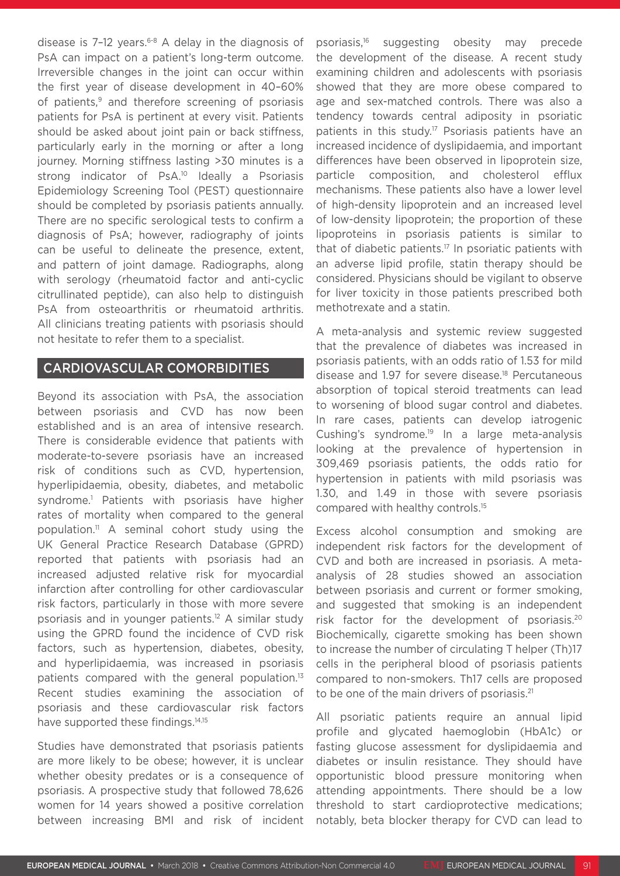disease is  $7-12$  years.<sup>6-8</sup> A delay in the diagnosis of PsA can impact on a patient's long-term outcome. Irreversible changes in the joint can occur within the first year of disease development in 40–60% of patients,<sup>9</sup> and therefore screening of psoriasis patients for PsA is pertinent at every visit. Patients should be asked about joint pain or back stiffness, particularly early in the morning or after a long journey. Morning stiffness lasting >30 minutes is a strong indicator of PsA.<sup>10</sup> Ideally a Psoriasis Epidemiology Screening Tool (PEST) questionnaire should be completed by psoriasis patients annually. There are no specific serological tests to confirm a diagnosis of PsA; however, radiography of joints can be useful to delineate the presence, extent, and pattern of joint damage. Radiographs, along with serology (rheumatoid factor and anti-cyclic citrullinated peptide), can also help to distinguish PsA from osteoarthritis or rheumatoid arthritis. All clinicians treating patients with psoriasis should not hesitate to refer them to a specialist.

## CARDIOVASCULAR COMORBIDITIES

Beyond its association with PsA, the association between psoriasis and CVD has now been established and is an area of intensive research. There is considerable evidence that patients with moderate-to-severe psoriasis have an increased risk of conditions such as CVD, hypertension, hyperlipidaemia, obesity, diabetes, and metabolic syndrome.<sup>1</sup> Patients with psoriasis have higher rates of mortality when compared to the general population.11 A seminal cohort study using the UK General Practice Research Database (GPRD) reported that patients with psoriasis had an increased adjusted relative risk for myocardial infarction after controlling for other cardiovascular risk factors, particularly in those with more severe psoriasis and in younger patients.12 A similar study using the GPRD found the incidence of CVD risk factors, such as hypertension, diabetes, obesity, and hyperlipidaemia, was increased in psoriasis patients compared with the general population.<sup>13</sup> Recent studies examining the association of psoriasis and these cardiovascular risk factors have supported these findings.<sup>14,15</sup>

Studies have demonstrated that psoriasis patients are more likely to be obese; however, it is unclear whether obesity predates or is a consequence of psoriasis. A prospective study that followed 78,626 women for 14 years showed a positive correlation between increasing BMI and risk of incident psoriasis,16 suggesting obesity may precede the development of the disease. A recent study examining children and adolescents with psoriasis showed that they are more obese compared to age and sex-matched controls. There was also a tendency towards central adiposity in psoriatic patients in this study.<sup>17</sup> Psoriasis patients have an increased incidence of dyslipidaemia, and important differences have been observed in lipoprotein size, particle composition, and cholesterol efflux mechanisms. These patients also have a lower level of high-density lipoprotein and an increased level of low-density lipoprotein; the proportion of these lipoproteins in psoriasis patients is similar to that of diabetic patients.17 In psoriatic patients with an adverse lipid profile, statin therapy should be considered. Physicians should be vigilant to observe for liver toxicity in those patients prescribed both methotrexate and a statin.

A meta-analysis and systemic review suggested that the prevalence of diabetes was increased in psoriasis patients, with an odds ratio of 1.53 for mild disease and 1.97 for severe disease.18 Percutaneous absorption of topical steroid treatments can lead to worsening of blood sugar control and diabetes. In rare cases, patients can develop iatrogenic Cushing's syndrome.19 In a large meta-analysis looking at the prevalence of hypertension in 309,469 psoriasis patients, the odds ratio for hypertension in patients with mild psoriasis was 1.30, and 1.49 in those with severe psoriasis compared with healthy controls.15

Excess alcohol consumption and smoking are independent risk factors for the development of CVD and both are increased in psoriasis. A metaanalysis of 28 studies showed an association between psoriasis and current or former smoking, and suggested that smoking is an independent risk factor for the development of psoriasis.20 Biochemically, cigarette smoking has been shown to increase the number of circulating T helper (Th)17 cells in the peripheral blood of psoriasis patients compared to non-smokers. Th17 cells are proposed to be one of the main drivers of psoriasis.<sup>21</sup>

All psoriatic patients require an annual lipid profile and glycated haemoglobin (HbA1c) or fasting glucose assessment for dyslipidaemia and diabetes or insulin resistance. They should have opportunistic blood pressure monitoring when attending appointments. There should be a low threshold to start cardioprotective medications; notably, beta blocker therapy for CVD can lead to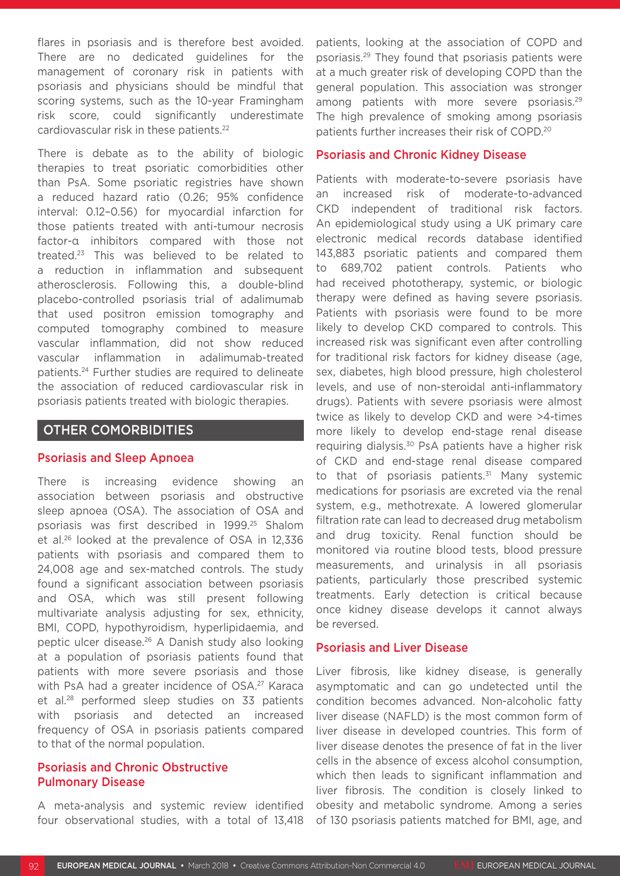flares in psoriasis and is therefore best avoided. There are no dedicated guidelines for the management of coronary risk in patients with psoriasis and physicians should be mindful that scoring systems, such as the 10-year Framingham risk score, could significantly underestimate cardiovascular risk in these patients.<sup>22</sup>

There is debate as to the ability of biologic therapies to treat psoriatic comorbidities other than PsA. Some psoriatic registries have shown a reduced hazard ratio (0.26; 95% confidence interval: 0.12–0.56) for myocardial infarction for those patients treated with anti-tumour necrosis factor-α inhibitors compared with those not treated.23 This was believed to be related to a reduction in inflammation and subsequent atherosclerosis. Following this, a double-blind placebo-controlled psoriasis trial of adalimumab that used positron emission tomography and computed tomography combined to measure vascular inflammation, did not show reduced vascular inflammation in adalimumab-treated patients.24 Further studies are required to delineate the association of reduced cardiovascular risk in psoriasis patients treated with biologic therapies.

## OTHER COMORBIDITIES

#### Psoriasis and Sleep Apnoea

There is increasing evidence showing an association between psoriasis and obstructive sleep apnoea (OSA). The association of OSA and psoriasis was first described in 1999.25 Shalom et al.26 looked at the prevalence of OSA in 12,336 patients with psoriasis and compared them to 24,008 age and sex-matched controls. The study found a significant association between psoriasis and OSA, which was still present following multivariate analysis adjusting for sex, ethnicity, BMI, COPD, hypothyroidism, hyperlipidaemia, and peptic ulcer disease.26 A Danish study also looking at a population of psoriasis patients found that patients with more severe psoriasis and those with PsA had a greater incidence of OSA.<sup>27</sup> Karaca et al.28 performed sleep studies on 33 patients with psoriasis and detected an increased frequency of OSA in psoriasis patients compared to that of the normal population.

#### Psoriasis and Chronic Obstructive Pulmonary Disease

A meta-analysis and systemic review identified four observational studies, with a total of 13,418 patients, looking at the association of COPD and psoriasis.29 They found that psoriasis patients were at a much greater risk of developing COPD than the general population. This association was stronger among patients with more severe psoriasis.<sup>29</sup> The high prevalence of smoking among psoriasis patients further increases their risk of COPD.20

#### Psoriasis and Chronic Kidney Disease

Patients with moderate-to-severe psoriasis have an increased risk of moderate-to-advanced CKD independent of traditional risk factors. An epidemiological study using a UK primary care electronic medical records database identified 143,883 psoriatic patients and compared them to 689,702 patient controls. Patients who had received phototherapy, systemic, or biologic therapy were defined as having severe psoriasis. Patients with psoriasis were found to be more likely to develop CKD compared to controls. This increased risk was significant even after controlling for traditional risk factors for kidney disease (age, sex, diabetes, high blood pressure, high cholesterol levels, and use of non-steroidal anti-inflammatory drugs). Patients with severe psoriasis were almost twice as likely to develop CKD and were >4-times more likely to develop end-stage renal disease requiring dialysis.<sup>30</sup> PsA patients have a higher risk of CKD and end-stage renal disease compared to that of psoriasis patients.<sup>31</sup> Many systemic medications for psoriasis are excreted via the renal system, e.g., methotrexate. A lowered glomerular filtration rate can lead to decreased drug metabolism and drug toxicity. Renal function should be monitored via routine blood tests, blood pressure measurements, and urinalysis in all psoriasis patients, particularly those prescribed systemic treatments. Early detection is critical because once kidney disease develops it cannot always be reversed.

#### Psoriasis and Liver Disease

Liver fibrosis, like kidney disease, is generally asymptomatic and can go undetected until the condition becomes advanced. Non-alcoholic fatty liver disease (NAFLD) is the most common form of liver disease in developed countries. This form of liver disease denotes the presence of fat in the liver cells in the absence of excess alcohol consumption, which then leads to significant inflammation and liver fibrosis. The condition is closely linked to obesity and metabolic syndrome. Among a series of 130 psoriasis patients matched for BMI, age, and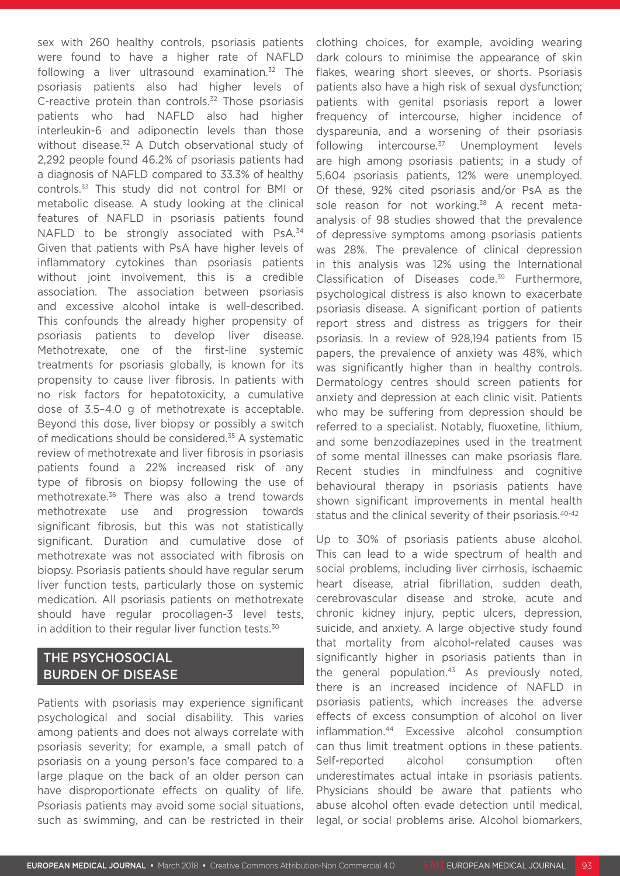sex with 260 healthy controls, psoriasis patients were found to have a higher rate of NAFLD following a liver ultrasound examination.32 The psoriasis patients also had higher levels of C-reactive protein than controls.<sup>32</sup> Those psoriasis patients who had NAFLD also had higher interleukin-6 and adiponectin levels than those without disease.<sup>32</sup> A Dutch observational study of 2,292 people found 46.2% of psoriasis patients had a diagnosis of NAFLD compared to 33.3% of healthy controls.33 This study did not control for BMI or metabolic disease. A study looking at the clinical features of NAFLD in psoriasis patients found NAFLD to be strongly associated with PsA.<sup>34</sup> Given that patients with PsA have higher levels of inflammatory cytokines than psoriasis patients without joint involvement, this is a credible association. The association between psoriasis and excessive alcohol intake is well-described. This confounds the already higher propensity of psoriasis patients to develop liver disease. Methotrexate, one of the first-line systemic treatments for psoriasis globally, is known for its propensity to cause liver fibrosis. In patients with no risk factors for hepatotoxicity, a cumulative dose of 3.5–4.0 g of methotrexate is acceptable. Beyond this dose, liver biopsy or possibly a switch of medications should be considered.<sup>35</sup> A systematic review of methotrexate and liver fibrosis in psoriasis patients found a 22% increased risk of any type of fibrosis on biopsy following the use of methotrexate.36 There was also a trend towards methotrexate use and progression towards significant fibrosis, but this was not statistically significant. Duration and cumulative dose of methotrexate was not associated with fibrosis on biopsy. Psoriasis patients should have regular serum liver function tests, particularly those on systemic medication. All psoriasis patients on methotrexate should have regular procollagen-3 level tests, in addition to their regular liver function tests.<sup>30</sup>

## THE PSYCHOSOCIAL BURDEN OF DISEASE

Patients with psoriasis may experience significant psychological and social disability. This varies among patients and does not always correlate with psoriasis severity; for example, a small patch of psoriasis on a young person's face compared to a large plaque on the back of an older person can have disproportionate effects on quality of life. Psoriasis patients may avoid some social situations, such as swimming, and can be restricted in their clothing choices, for example, avoiding wearing dark colours to minimise the appearance of skin flakes, wearing short sleeves, or shorts. Psoriasis patients also have a high risk of sexual dysfunction; patients with genital psoriasis report a lower frequency of intercourse, higher incidence of dyspareunia, and a worsening of their psoriasis following intercourse. $37$  Unemployment levels are high among psoriasis patients; in a study of 5,604 psoriasis patients, 12% were unemployed. Of these, 92% cited psoriasis and/or PsA as the sole reason for not working.<sup>38</sup> A recent metaanalysis of 98 studies showed that the prevalence of depressive symptoms among psoriasis patients was 28%. The prevalence of clinical depression in this analysis was 12% using the International Classification of Diseases code.<sup>39</sup> Furthermore, psychological distress is also known to exacerbate psoriasis disease. A significant portion of patients report stress and distress as triggers for their psoriasis. In a review of 928,194 patients from 15 papers, the prevalence of anxiety was 48%, which was significantly higher than in healthy controls. Dermatology centres should screen patients for anxiety and depression at each clinic visit. Patients who may be suffering from depression should be referred to a specialist. Notably, fluoxetine, lithium, and some benzodiazepines used in the treatment of some mental illnesses can make psoriasis flare. Recent studies in mindfulness and cognitive behavioural therapy in psoriasis patients have shown significant improvements in mental health status and the clinical severity of their psoriasis.<sup>40-42</sup>

Up to 30% of psoriasis patients abuse alcohol. This can lead to a wide spectrum of health and social problems, including liver cirrhosis, ischaemic heart disease, atrial fibrillation, sudden death, cerebrovascular disease and stroke, acute and chronic kidney injury, peptic ulcers, depression, suicide, and anxiety. A large objective study found that mortality from alcohol-related causes was significantly higher in psoriasis patients than in the general population.<sup>43</sup> As previously noted, there is an increased incidence of NAFLD in psoriasis patients, which increases the adverse effects of excess consumption of alcohol on liver inflammation.44 Excessive alcohol consumption can thus limit treatment options in these patients. Self-reported alcohol consumption often underestimates actual intake in psoriasis patients. Physicians should be aware that patients who abuse alcohol often evade detection until medical, legal, or social problems arise. Alcohol biomarkers,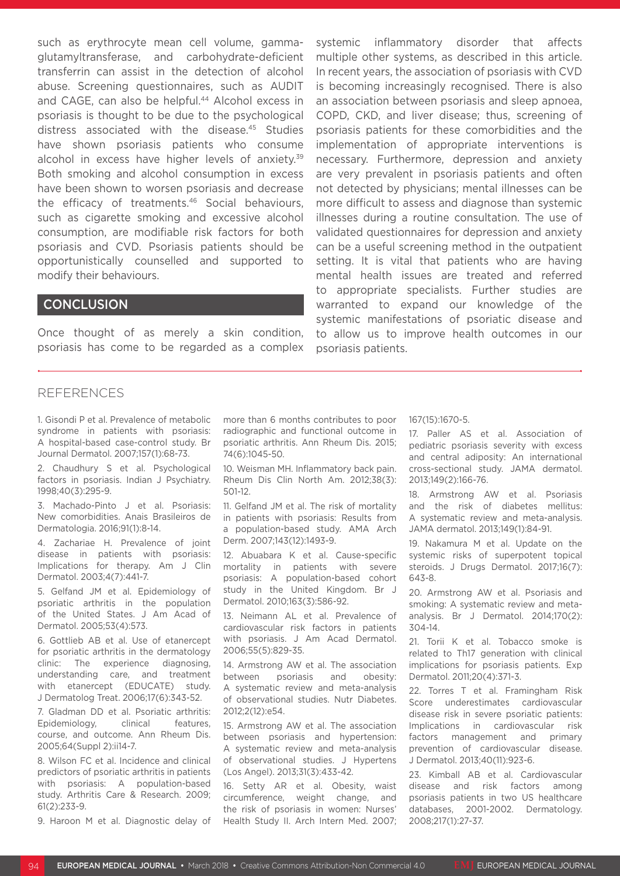such as erythrocyte mean cell volume, gammaglutamyltransferase, and carbohydrate-deficient transferrin can assist in the detection of alcohol abuse. Screening questionnaires, such as AUDIT and CAGE, can also be helpful.<sup>44</sup> Alcohol excess in psoriasis is thought to be due to the psychological distress associated with the disease.45 Studies have shown psoriasis patients who consume alcohol in excess have higher levels of anxiety.<sup>39</sup> Both smoking and alcohol consumption in excess have been shown to worsen psoriasis and decrease the efficacy of treatments.46 Social behaviours, such as cigarette smoking and excessive alcohol consumption, are modifiable risk factors for both psoriasis and CVD. Psoriasis patients should be opportunistically counselled and supported to modify their behaviours.

## **CONCLUSION**

Once thought of as merely a skin condition, psoriasis has come to be regarded as a complex systemic inflammatory disorder that affects multiple other systems, as described in this article. In recent years, the association of psoriasis with CVD is becoming increasingly recognised. There is also an association between psoriasis and sleep apnoea, COPD, CKD, and liver disease; thus, screening of psoriasis patients for these comorbidities and the implementation of appropriate interventions is necessary. Furthermore, depression and anxiety are very prevalent in psoriasis patients and often not detected by physicians; mental illnesses can be more difficult to assess and diagnose than systemic illnesses during a routine consultation. The use of validated questionnaires for depression and anxiety can be a useful screening method in the outpatient setting. It is vital that patients who are having mental health issues are treated and referred to appropriate specialists. Further studies are warranted to expand our knowledge of the systemic manifestations of psoriatic disease and to allow us to improve health outcomes in our psoriasis patients.

#### **REFERENCES**

1. Gisondi P et al. Prevalence of metabolic syndrome in patients with psoriasis: A hospital-based case-control study. Br Journal Dermatol. 2007;157(1):68-73.

2. Chaudhury S et al. Psychological factors in psoriasis. Indian J Psychiatry. 1998;40(3):295-9.

3. Machado-Pinto J et al. Psoriasis: New comorbidities. Anais Brasileiros de Dermatologia. 2016;91(1):8-14.

4. Zachariae H. Prevalence of joint disease in patients with psoriasis: Implications for therapy. Am J Clin Dermatol. 2003;4(7):441-7.

5. Gelfand JM et al. Epidemiology of psoriatic arthritis in the population of the United States. J Am Acad of Dermatol. 2005;53(4):573.

6. Gottlieb AB et al. Use of etanercept for psoriatic arthritis in the dermatology clinic: The experience diagnosing, understanding care, and treatment with etanercept (EDUCATE) study. J Dermatolog Treat. 2006;17(6):343-52.

7. Gladman DD et al. Psoriatic arthritis: Epidemiology, clinical features, course, and outcome. Ann Rheum Dis. 2005;64(Suppl 2):ii14-7.

8. Wilson FC et al. Incidence and clinical predictors of psoriatic arthritis in patients with psoriasis: A population-based study. Arthritis Care & Research. 2009;  $61(2):233-9$ 

9. Haroon M et al. Diagnostic delay of

more than 6 months contributes to poor radiographic and functional outcome in psoriatic arthritis. Ann Rheum Dis. 2015; 74(6):1045-50.

10. Weisman MH. Inflammatory back pain. Rheum Dis Clin North Am. 2012;38(3): 501-12.

11. Gelfand JM et al. The risk of mortality in patients with psoriasis: Results from a population-based study. AMA Arch Derm. 2007;143(12):1493-9.

12. Abuabara K et al. Cause-specific mortality in patients with severe psoriasis: A population-based cohort study in the United Kingdom. Br J Dermatol. 2010;163(3):586-92.

13. Neimann AL et al. Prevalence of cardiovascular risk factors in patients with psoriasis. J Am Acad Dermatol. 2006;55(5):829-35.

14. Armstrong AW et al. The association between psoriasis and obesity: A systematic review and meta-analysis of observational studies. Nutr Diabetes. 2012;2(12):e54.

15. Armstrong AW et al. The association between psoriasis and hypertension: A systematic review and meta-analysis of observational studies. J Hypertens (Los Angel). 2013;31(3):433-42.

16. Setty AR et al. Obesity, waist circumference, weight change, and the risk of psoriasis in women: Nurses' Health Study II. Arch Intern Med. 2007;

#### 167(15):1670-5.

17. Paller AS et al. Association of pediatric psoriasis severity with excess and central adiposity: An international cross-sectional study. JAMA dermatol. 2013;149(2):166-76.

18. Armstrong AW et al. Psoriasis and the risk of diabetes mellitus: A systematic review and meta-analysis. JAMA dermatol. 2013;149(1):84-91.

19. Nakamura M et al. Update on the systemic risks of superpotent topical steroids. J Drugs Dermatol. 2017;16(7): 643-8.

20. Armstrong AW et al. Psoriasis and smoking: A systematic review and metaanalysis. Br J Dermatol. 2014;170(2): 304-14.

21. Torii K et al. Tobacco smoke is related to Th17 generation with clinical implications for psoriasis patients. Exp Dermatol. 2011;20(4):371-3.

22. Torres T et al. Framingham Risk Score underestimates cardiovascular disease risk in severe psoriatic patients: Implications in cardiovascular risk factors management and primary prevention of cardiovascular disease. J Dermatol. 2013;40(11):923-6.

23. Kimball AB et al. Cardiovascular disease and risk factors among psoriasis patients in two US healthcare databases, 2001-2002. Dermatology. 2008;217(1):27-37.